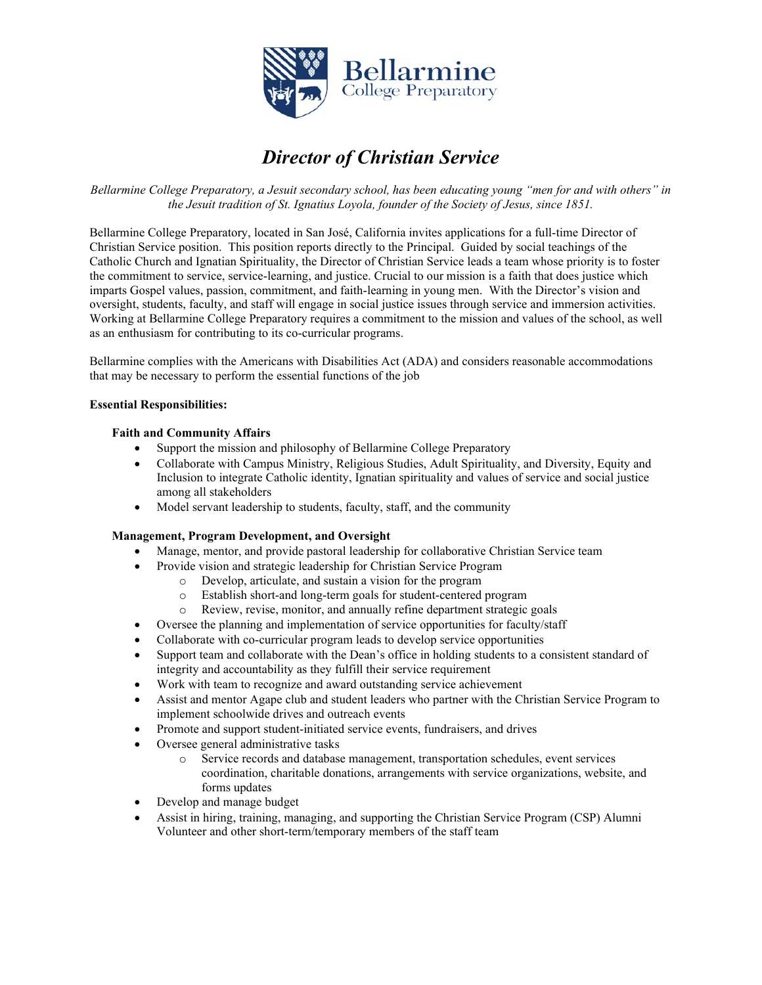

# *Director of Christian Service*

*Bellarmine College Preparatory, a Jesuit secondary school, has been educating young "men for and with others" in the Jesuit tradition of St. Ignatius Loyola, founder of the Society of Jesus, since 1851.*

Bellarmine College Preparatory, located in San José, California invites applications for a full-time Director of Christian Service position. This position reports directly to the Principal. Guided by social teachings of the Catholic Church and Ignatian Spirituality, the Director of Christian Service leads a team whose priority is to foster the commitment to service, service-learning, and justice. Crucial to our mission is a faith that does justice which imparts Gospel values, passion, commitment, and faith-learning in young men. With the Director's vision and oversight, students, faculty, and staff will engage in social justice issues through service and immersion activities. Working at Bellarmine College Preparatory requires a commitment to the mission and values of the school, as well as an enthusiasm for contributing to its co-curricular programs.

Bellarmine complies with the Americans with Disabilities Act (ADA) and considers reasonable accommodations that may be necessary to perform the essential functions of the job

## **Essential Responsibilities:**

### **Faith and Community Affairs**

- Support the mission and philosophy of Bellarmine College Preparatory
- Collaborate with Campus Ministry, Religious Studies, Adult Spirituality, and Diversity, Equity and Inclusion to integrate Catholic identity, Ignatian spirituality and values of service and social justice among all stakeholders
- Model servant leadership to students, faculty, staff, and the community

## **Management, Program Development, and Oversight**

- Manage, mentor, and provide pastoral leadership for collaborative Christian Service team
	- Provide vision and strategic leadership for Christian Service Program
		- o Develop, articulate, and sustain a vision for the program
		- Establish short-and long-term goals for student-centered program
		- o Review, revise, monitor, and annually refine department strategic goals
- Oversee the planning and implementation of service opportunities for faculty/staff
- Collaborate with co-curricular program leads to develop service opportunities
- Support team and collaborate with the Dean's office in holding students to a consistent standard of integrity and accountability as they fulfill their service requirement
- Work with team to recognize and award outstanding service achievement
- Assist and mentor Agape club and student leaders who partner with the Christian Service Program to implement schoolwide drives and outreach events
- Promote and support student-initiated service events, fundraisers, and drives
- Oversee general administrative tasks
	- o Service records and database management, transportation schedules, event services coordination, charitable donations, arrangements with service organizations, website, and forms updates
- Develop and manage budget
- Assist in hiring, training, managing, and supporting the Christian Service Program (CSP) Alumni Volunteer and other short-term/temporary members of the staff team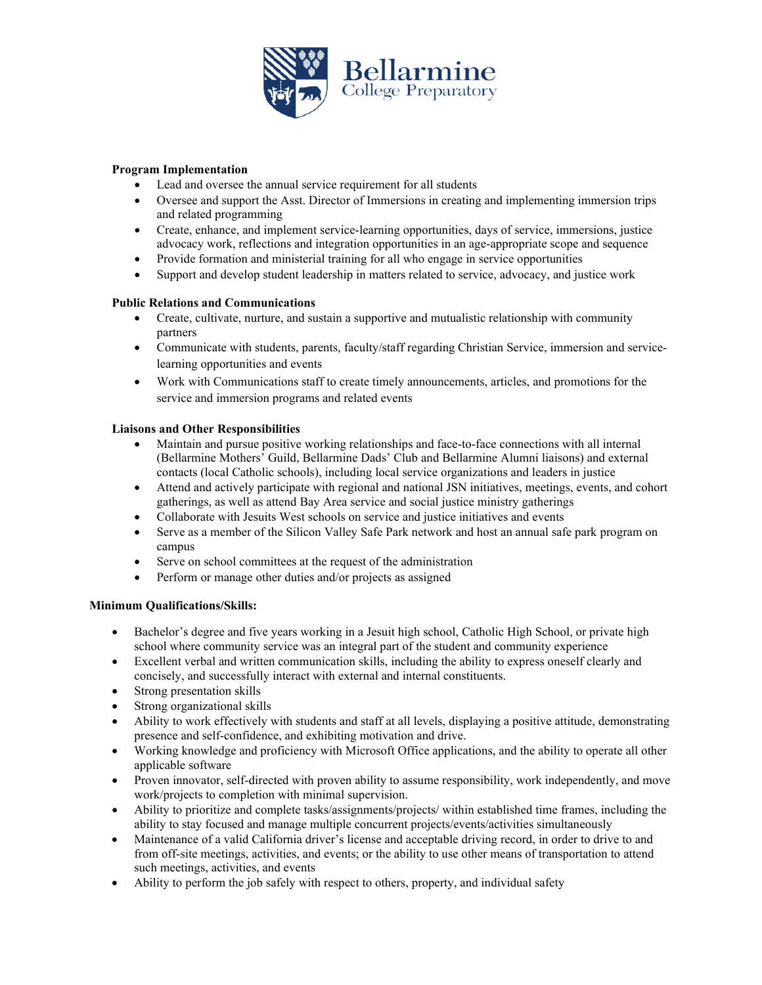

## **Program Implementation**

- Lead and oversee the annual service requirement for all students
- Oversee and support the Asst. Director of Immersions in creating and implementing immersion trips and related programming
- Create, enhance, and implement service-learning opportunities, days of service, immersions, justice advocacy work, reflections and integration opportunities in an age-appropriate scope and sequence
- Provide formation and ministerial training for all who engage in service opportunities
- Support and develop student leadership in matters related to service, advocacy, and justice work

# **Public Relations and Communications**

- Create, cultivate, nurture, and sustain a supportive and mutualistic relationship with community partners
- Communicate with students, parents, faculty/staff regarding Christian Service, immersion and servicelearning opportunities and events
- Work with Communications staff to create timely announcements, articles, and promotions for the service and immersion programs and related events

# **Liaisons and Other Responsibilities**

- Maintain and pursue positive working relationships and face-to-face connections with all internal (Bellarmine Mothers' Guild, Bellarmine Dads' Club and Bellarmine Alumni liaisons) and external contacts (local Catholic schools), including local service organizations and leaders in justice
- Attend and actively participate with regional and national JSN initiatives, meetings, events, and cohort gatherings, as well as attend Bay Area service and social justice ministry gatherings
- Collaborate with Jesuits West schools on service and justice initiatives and events
- Serve as a member of the Silicon Valley Safe Park network and host an annual safe park program on campus
- Serve on school committees at the request of the administration
- Perform or manage other duties and/or projects as assigned

## **Minimum Qualifications/Skills:**

- Bachelor's degree and five years working in a Jesuit high school, Catholic High School, or private high school where community service was an integral part of the student and community experience
- Excellent verbal and written communication skills, including the ability to express oneself clearly and concisely, and successfully interact with external and internal constituents.
- Strong presentation skills
- Strong organizational skills
- Ability to work effectively with students and staff at all levels, displaying a positive attitude, demonstrating presence and self-confidence, and exhibiting motivation and drive.
- Working knowledge and proficiency with Microsoft Office applications, and the ability to operate all other applicable software
- Proven innovator, self-directed with proven ability to assume responsibility, work independently, and move work/projects to completion with minimal supervision.
- Ability to prioritize and complete tasks/assignments/projects/ within established time frames, including the ability to stay focused and manage multiple concurrent projects/events/activities simultaneously
- Maintenance of a valid California driver's license and acceptable driving record, in order to drive to and from off-site meetings, activities, and events; or the ability to use other means of transportation to attend such meetings, activities, and events
- Ability to perform the job safely with respect to others, property, and individual safety